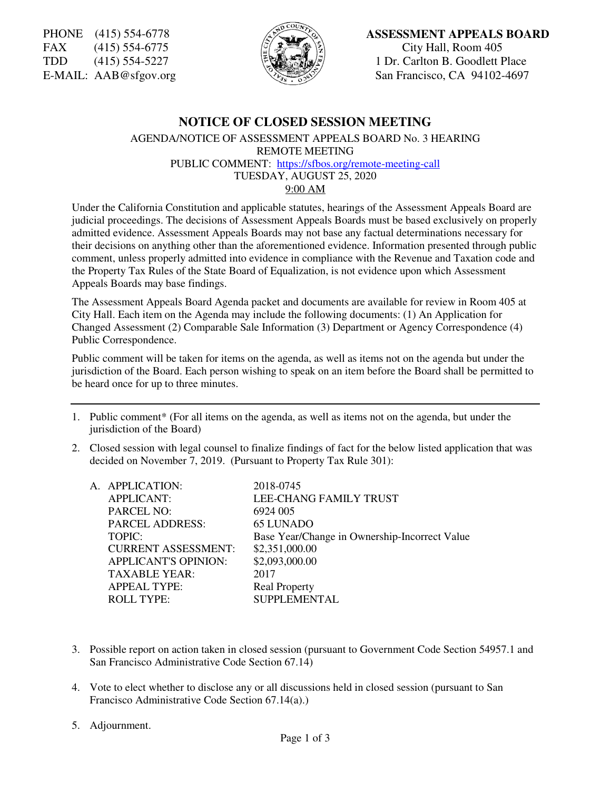FAX (415) 554-6775  $\begin{pmatrix} 2 & 3 \ 4 & 5 \end{pmatrix}$   $\begin{pmatrix} 5/3 \ \end{pmatrix}$  City Hall, Room 405<br>TDD (415) 554-5227  $\begin{pmatrix} 2 & 3 \ \end{pmatrix}$   $\begin{pmatrix} 3 & 3 \ \end{pmatrix}$  1 Dr. Carlton B. Goodlett F



### PHONE (415) 554-6778 **ASSESSMENT APPEALS BOARD**

 $(415)$  554-5227 **The Society of Section B. Goodlett Place** E-MAIL: AAB@sfgov.org  $\sqrt{\sqrt{2\pi}}$  San Francisco, CA 94102-4697

# **NOTICE OF CLOSED SESSION MEETING**

AGENDA/NOTICE OF ASSESSMENT APPEALS BOARD No. 3 HEARING REMOTE MEETING PUBLIC COMMENT: https://sfbos.org/remote-meeting-call TUESDAY, AUGUST 25, 2020

9:00 AM

Under the California Constitution and applicable statutes, hearings of the Assessment Appeals Board are judicial proceedings. The decisions of Assessment Appeals Boards must be based exclusively on properly admitted evidence. Assessment Appeals Boards may not base any factual determinations necessary for their decisions on anything other than the aforementioned evidence. Information presented through public comment, unless properly admitted into evidence in compliance with the Revenue and Taxation code and the Property Tax Rules of the State Board of Equalization, is not evidence upon which Assessment Appeals Boards may base findings.

The Assessment Appeals Board Agenda packet and documents are available for review in Room 405 at City Hall. Each item on the Agenda may include the following documents: (1) An Application for Changed Assessment (2) Comparable Sale Information (3) Department or Agency Correspondence (4) Public Correspondence.

Public comment will be taken for items on the agenda, as well as items not on the agenda but under the jurisdiction of the Board. Each person wishing to speak on an item before the Board shall be permitted to be heard once for up to three minutes.

- 1. Public comment\* (For all items on the agenda, as well as items not on the agenda, but under the jurisdiction of the Board)
- 2. Closed session with legal counsel to finalize findings of fact for the below listed application that was decided on November 7, 2019. (Pursuant to Property Tax Rule 301):

| A. APPLICATION:             | 2018-0745                                     |
|-----------------------------|-----------------------------------------------|
| <b>APPLICANT:</b>           | LEE-CHANG FAMILY TRUST                        |
| <b>PARCEL NO:</b>           | 6924 005                                      |
| <b>PARCEL ADDRESS:</b>      | <b>65 LUNADO</b>                              |
| TOPIC:                      | Base Year/Change in Ownership-Incorrect Value |
| <b>CURRENT ASSESSMENT:</b>  | \$2,351,000.00                                |
| <b>APPLICANT'S OPINION:</b> | \$2,093,000.00                                |
| <b>TAXABLE YEAR:</b>        | 2017                                          |
| <b>APPEAL TYPE:</b>         | <b>Real Property</b>                          |
| <b>ROLL TYPE:</b>           | SUPPLEMENTAL                                  |
|                             |                                               |

- 3. Possible report on action taken in closed session (pursuant to Government Code Section 54957.1 and San Francisco Administrative Code Section 67.14)
- 4. Vote to elect whether to disclose any or all discussions held in closed session (pursuant to San Francisco Administrative Code Section 67.14(a).)
- 5. Adjournment.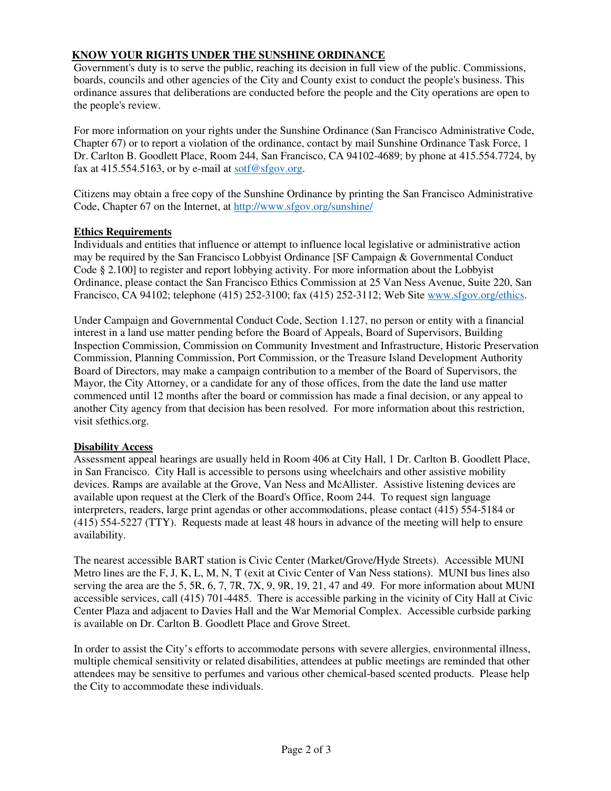## **KNOW YOUR RIGHTS UNDER THE SUNSHINE ORDINANCE**

Government's duty is to serve the public, reaching its decision in full view of the public. Commissions, boards, councils and other agencies of the City and County exist to conduct the people's business. This ordinance assures that deliberations are conducted before the people and the City operations are open to the people's review.

For more information on your rights under the Sunshine Ordinance (San Francisco Administrative Code, Chapter 67) or to report a violation of the ordinance, contact by mail Sunshine Ordinance Task Force, 1 Dr. Carlton B. Goodlett Place, Room 244, San Francisco, CA 94102-4689; by phone at 415.554.7724, by fax at 415.554.5163, or by e-mail at sotf@sfgov.org.

Citizens may obtain a free copy of the Sunshine Ordinance by printing the San Francisco Administrative Code, Chapter 67 on the Internet, at http://www.sfgov.org/sunshine/

### **Ethics Requirements**

Individuals and entities that influence or attempt to influence local legislative or administrative action may be required by the San Francisco Lobbyist Ordinance [SF Campaign & Governmental Conduct Code § 2.100] to register and report lobbying activity. For more information about the Lobbyist Ordinance, please contact the San Francisco Ethics Commission at 25 Van Ness Avenue, Suite 220, San Francisco, CA 94102; telephone (415) 252-3100; fax (415) 252-3112; Web Site www.sfgov.org/ethics.

Under Campaign and Governmental Conduct Code, Section 1.127, no person or entity with a financial interest in a land use matter pending before the Board of Appeals, Board of Supervisors, Building Inspection Commission, Commission on Community Investment and Infrastructure, Historic Preservation Commission, Planning Commission, Port Commission, or the Treasure Island Development Authority Board of Directors, may make a campaign contribution to a member of the Board of Supervisors, the Mayor, the City Attorney, or a candidate for any of those offices, from the date the land use matter commenced until 12 months after the board or commission has made a final decision, or any appeal to another City agency from that decision has been resolved. For more information about this restriction, visit sfethics.org.

#### **Disability Access**

Assessment appeal hearings are usually held in Room 406 at City Hall, 1 Dr. Carlton B. Goodlett Place, in San Francisco. City Hall is accessible to persons using wheelchairs and other assistive mobility devices. Ramps are available at the Grove, Van Ness and McAllister. Assistive listening devices are available upon request at the Clerk of the Board's Office, Room 244. To request sign language interpreters, readers, large print agendas or other accommodations, please contact (415) 554-5184 or (415) 554-5227 (TTY). Requests made at least 48 hours in advance of the meeting will help to ensure availability.

The nearest accessible BART station is Civic Center (Market/Grove/Hyde Streets). Accessible MUNI Metro lines are the F, J, K, L, M, N, T (exit at Civic Center of Van Ness stations). MUNI bus lines also serving the area are the 5, 5R, 6, 7, 7R, 7X, 9, 9R, 19, 21, 47 and 49. For more information about MUNI accessible services, call (415) 701-4485. There is accessible parking in the vicinity of City Hall at Civic Center Plaza and adjacent to Davies Hall and the War Memorial Complex. Accessible curbside parking is available on Dr. Carlton B. Goodlett Place and Grove Street.

In order to assist the City's efforts to accommodate persons with severe allergies, environmental illness, multiple chemical sensitivity or related disabilities, attendees at public meetings are reminded that other attendees may be sensitive to perfumes and various other chemical-based scented products. Please help the City to accommodate these individuals.